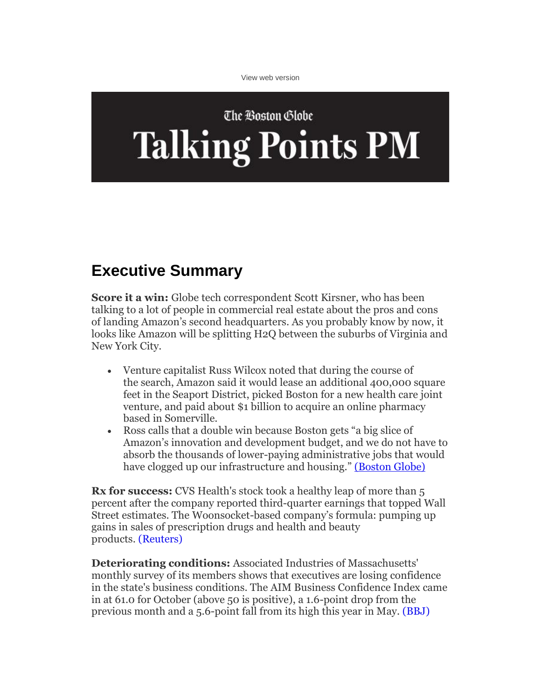[View web version](http://view.email.bostonglobe.com/?qs=d13c3e2633f51039939426993235eb5ebfd89b47c8f4779de4ff4548e13882935998aeb617fa1cd628763ce5bd669ebcf0f5665436ad716fa35bfd3071d7cd534117f9e66dc0a70bfacbce2ecd485ac17f11f4b63ae69ef7)

## The Boston Globe **Talking Points PM**

## **Executive Summary**

**Score it a win:** Globe tech correspondent Scott Kirsner, who has been talking to a lot of people in commercial real estate about the pros and cons of landing Amazon's second headquarters. As you probably know by now, it looks like Amazon will be splitting H2Q between the suburbs of Virginia and New York City.

- Venture capitalist Russ Wilcox noted that during the course of the search, Amazon said it would lease an additional 400,000 square feet in the Seaport District, picked Boston for a new health care joint venture, and paid about \$1 billion to acquire an online pharmacy based in Somerville.
- Ross calls that a double win because Boston gets "a big slice of Amazon's innovation and development budget, and we do not have to absorb the thousands of lower-paying administrative jobs that would have clogged up our infrastructure and housing." [\(Boston Globe\)](http://click.email.bostonglobe.com/?qs=76d215d7fdc0512e339d2f2d937eee47a1603b9679255b334c98323ce05c34a65a973f535924f684c47ec192dbc1fb169f13ec21fc6aa248)

**Rx for success:** CVS Health's stock took a healthy leap of more than 5 percent after the company reported third-quarter earnings that topped Wall Street estimates. The Woonsocket-based company's formula: pumping up gains in sales of prescription drugs and health and beauty products. [\(Reuters\)](http://click.email.bostonglobe.com/?qs=9da95f5f3ab45f5b8218013288461a26a061de8adf85282d46b0aec7c9f41c7b8c1e51949f33601eb1d3af935d3ca499f0fe3b32aa256e57)

**Deteriorating conditions:** Associated Industries of Massachusetts' monthly survey of its members shows that executives are losing confidence in the state's business conditions. The AIM Business Confidence Index came in at 61.0 for October (above 50 is positive), a 1.6-point drop from the previous month and a 5.6-point fall from its high this year in May. [\(BBJ\)](http://click.email.bostonglobe.com/?qs=9da95f5f3ab45f5bb849f8ff5c26309096f89aebd338b17b5af89aa5d4a5223cbcf02b9f41b1b69b3c1c251310048520188ff32c8dbaccb3)